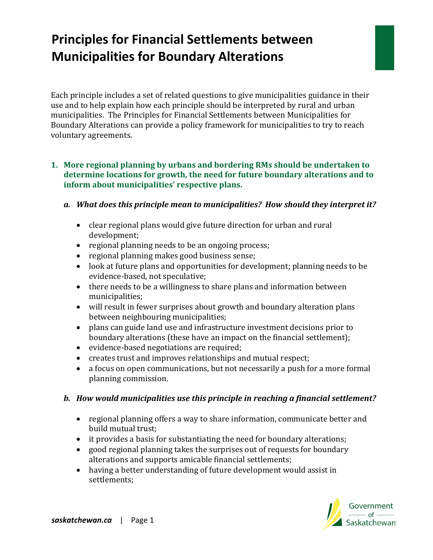# **Principles for Financial Settlements between Municipalities for Boundary Alterations**

Each principle includes a set of related questions to give municipalities guidance in their use and to help explain how each principle should be interpreted by rural and urban municipalities. The Principles for Financial Settlements between Municipalities for Boundary Alterations can provide a policy framework for municipalities to try to reach voluntary agreements.

#### **1. More regional planning by urbans and bordering RMs should be undertaken to determine locations for growth, the need for future boundary alterations and to inform about municipalities' respective plans.**

- *a. What does this principle mean to municipalities? How should they interpret it?* 
	- clear regional plans would give future direction for urban and rural development;
	- regional planning needs to be an ongoing process;
	- regional planning makes good business sense;
	- look at future plans and opportunities for development; planning needs to be evidence-based, not speculative;
	- there needs to be a willingness to share plans and information between municipalities;
	- will result in fewer surprises about growth and boundary alteration plans between neighbouring municipalities;
	- plans can guide land use and infrastructure investment decisions prior to boundary alterations (these have an impact on the financial settlement);
	- evidence-based negotiations are required;
	- creates trust and improves relationships and mutual respect;
	- a focus on open communications, but not necessarily a push for a more formal planning commission.

- regional planning offers a way to share information, communicate better and build mutual trust;
- it provides a basis for substantiating the need for boundary alterations;
- good regional planning takes the surprises out of requests for boundary alterations and supports amicable financial settlements;
- having a better understanding of future development would assist in settlements;

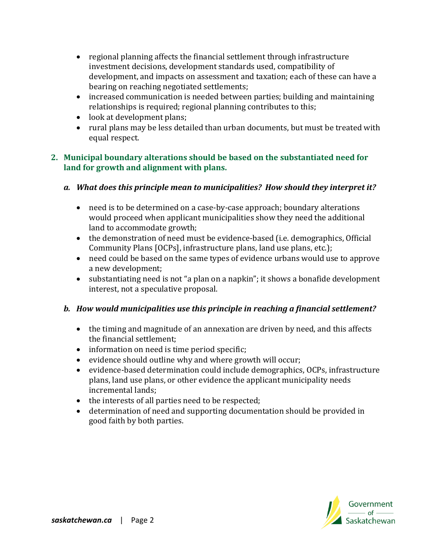- regional planning affects the financial settlement through infrastructure investment decisions, development standards used, compatibility of development, and impacts on assessment and taxation; each of these can have a bearing on reaching negotiated settlements;
- increased communication is needed between parties; building and maintaining relationships is required; regional planning contributes to this;
- look at development plans;
- rural plans may be less detailed than urban documents, but must be treated with equal respect.

#### **2. Municipal boundary alterations should be based on the substantiated need for land for growth and alignment with plans.**

## *a. What does this principle mean to municipalities? How should they interpret it?*

- need is to be determined on a case-by-case approach; boundary alterations would proceed when applicant municipalities show they need the additional land to accommodate growth;
- the demonstration of need must be evidence-based (i.e. demographics, Official Community Plans [OCPs], infrastructure plans, land use plans, etc.);
- need could be based on the same types of evidence urbans would use to approve a new development;
- substantiating need is not "a plan on a napkin"; it shows a bonafide development interest, not a speculative proposal.

- the timing and magnitude of an annexation are driven by need, and this affects the financial settlement;
- information on need is time period specific;
- evidence should outline why and where growth will occur;
- evidence-based determination could include demographics, OCPs, infrastructure plans, land use plans, or other evidence the applicant municipality needs incremental lands;
- the interests of all parties need to be respected;
- determination of need and supporting documentation should be provided in good faith by both parties.

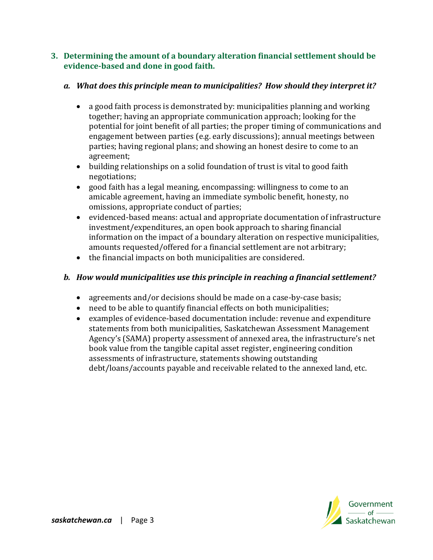#### **3. Determining the amount of a boundary alteration financial settlement should be evidence-based and done in good faith.**

## *a. What does this principle mean to municipalities? How should they interpret it?*

- a good faith process is demonstrated by: municipalities planning and working together; having an appropriate communication approach; looking for the potential for joint benefit of all parties; the proper timing of communications and engagement between parties (e.g. early discussions); annual meetings between parties; having regional plans; and showing an honest desire to come to an agreement;
- building relationships on a solid foundation of trust is vital to good faith negotiations;
- good faith has a legal meaning, encompassing: willingness to come to an amicable agreement, having an immediate symbolic benefit, honesty, no omissions, appropriate conduct of parties;
- evidenced-based means: actual and appropriate documentation of infrastructure investment/expenditures, an open book approach to sharing financial information on the impact of a boundary alteration on respective municipalities, amounts requested/offered for a financial settlement are not arbitrary;
- the financial impacts on both municipalities are considered.

- agreements and/or decisions should be made on a case-by-case basis;
- need to be able to quantify financial effects on both municipalities;
- examples of evidence-based documentation include: revenue and expenditure statements from both municipalities, Saskatchewan Assessment Management Agency's (SAMA) property assessment of annexed area, the infrastructure's net book value from the tangible capital asset register, engineering condition assessments of infrastructure, statements showing outstanding debt/loans/accounts payable and receivable related to the annexed land, etc.

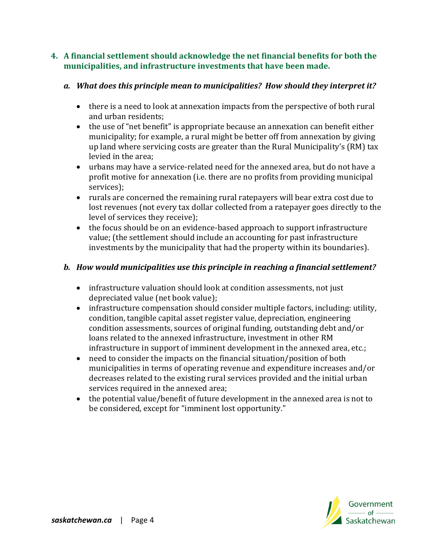#### **4. A financial settlement should acknowledge the net financial benefits for both the municipalities, and infrastructure investments that have been made.**

## *a. What does this principle mean to municipalities? How should they interpret it?*

- there is a need to look at annexation impacts from the perspective of both rural and urban residents;
- the use of "net benefit" is appropriate because an annexation can benefit either municipality; for example, a rural might be better off from annexation by giving up land where servicing costs are greater than the Rural Municipality's (RM) tax levied in the area;
- urbans may have a service-related need for the annexed area, but do not have a profit motive for annexation (i.e. there are no profits from providing municipal services);
- rurals are concerned the remaining rural ratepayers will bear extra cost due to lost revenues (not every tax dollar collected from a ratepayer goes directly to the level of services they receive);
- the focus should be on an evidence-based approach to support infrastructure value; (the settlement should include an accounting for past infrastructure investments by the municipality that had the property within its boundaries).

- infrastructure valuation should look at condition assessments, not just depreciated value (net book value);
- infrastructure compensation should consider multiple factors, including: utility, condition, tangible capital asset register value, depreciation, engineering condition assessments, sources of original funding, outstanding debt and/or loans related to the annexed infrastructure, investment in other RM infrastructure in support of imminent development in the annexed area, etc.;
- need to consider the impacts on the financial situation/position of both municipalities in terms of operating revenue and expenditure increases and/or decreases related to the existing rural services provided and the initial urban services required in the annexed area;
- the potential value/benefit of future development in the annexed area is not to be considered, except for "imminent lost opportunity."

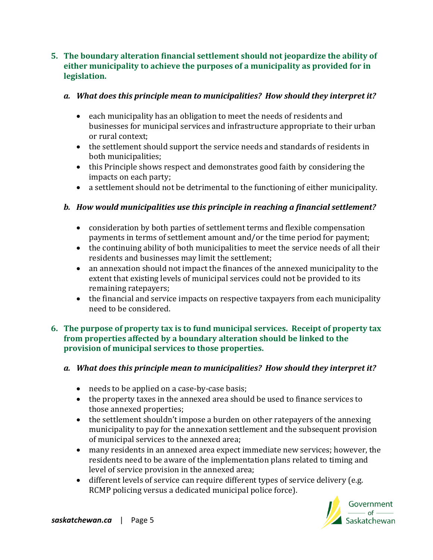#### **5. The boundary alteration financial settlement should not jeopardize the ability of either municipality to achieve the purposes of a municipality as provided for in legislation.**

#### *a. What does this principle mean to municipalities? How should they interpret it?*

- each municipality has an obligation to meet the needs of residents and businesses for municipal services and infrastructure appropriate to their urban or rural context;
- the settlement should support the service needs and standards of residents in both municipalities;
- this Principle shows respect and demonstrates good faith by considering the impacts on each party;
- a settlement should not be detrimental to the functioning of either municipality.

# *b. How would municipalities use this principle in reaching a financial settlement?*

- consideration by both parties of settlement terms and flexible compensation payments in terms of settlement amount and/or the time period for payment;
- the continuing ability of both municipalities to meet the service needs of all their residents and businesses may limit the settlement;
- an annexation should not impact the finances of the annexed municipality to the extent that existing levels of municipal services could not be provided to its remaining ratepayers;
- the financial and service impacts on respective taxpayers from each municipality need to be considered.

#### **6. The purpose of property tax is to fund municipal services. Receipt of property tax from properties affected by a boundary alteration should be linked to the provision of municipal services to those properties.**

#### *a. What does this principle mean to municipalities? How should they interpret it?*

- needs to be applied on a case-by-case basis;
- the property taxes in the annexed area should be used to finance services to those annexed properties;
- the settlement shouldn't impose a burden on other ratepayers of the annexing municipality to pay for the annexation settlement and the subsequent provision of municipal services to the annexed area;
- many residents in an annexed area expect immediate new services; however, the residents need to be aware of the implementation plans related to timing and level of service provision in the annexed area;
- different levels of service can require different types of service delivery (e.g. RCMP policing versus a dedicated municipal police force).

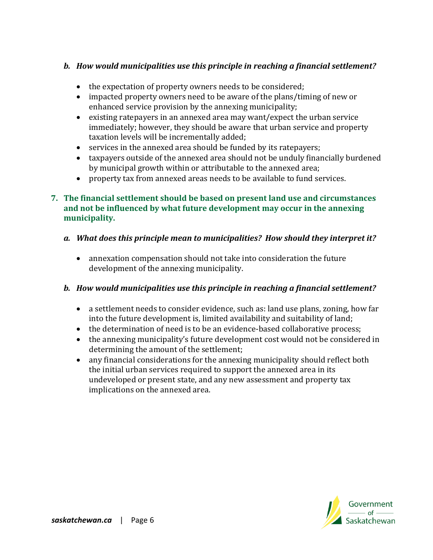## *b. How would municipalities use this principle in reaching a financial settlement?*

- the expectation of property owners needs to be considered;
- impacted property owners need to be aware of the plans/timing of new or enhanced service provision by the annexing municipality;
- existing ratepayers in an annexed area may want/expect the urban service immediately; however, they should be aware that urban service and property taxation levels will be incrementally added;
- services in the annexed area should be funded by its ratepayers;
- taxpayers outside of the annexed area should not be unduly financially burdened by municipal growth within or attributable to the annexed area;
- property tax from annexed areas needs to be available to fund services.

#### **7. The financial settlement should be based on present land use and circumstances and not be influenced by what future development may occur in the annexing municipality.**

- *a. What does this principle mean to municipalities? How should they interpret it?* 
	- annexation compensation should not take into consideration the future development of the annexing municipality.

- a settlement needs to consider evidence, such as: land use plans, zoning, how far into the future development is, limited availability and suitability of land;
- the determination of need is to be an evidence-based collaborative process;
- the annexing municipality's future development cost would not be considered in determining the amount of the settlement;
- any financial considerations for the annexing municipality should reflect both the initial urban services required to support the annexed area in its undeveloped or present state, and any new assessment and property tax implications on the annexed area.